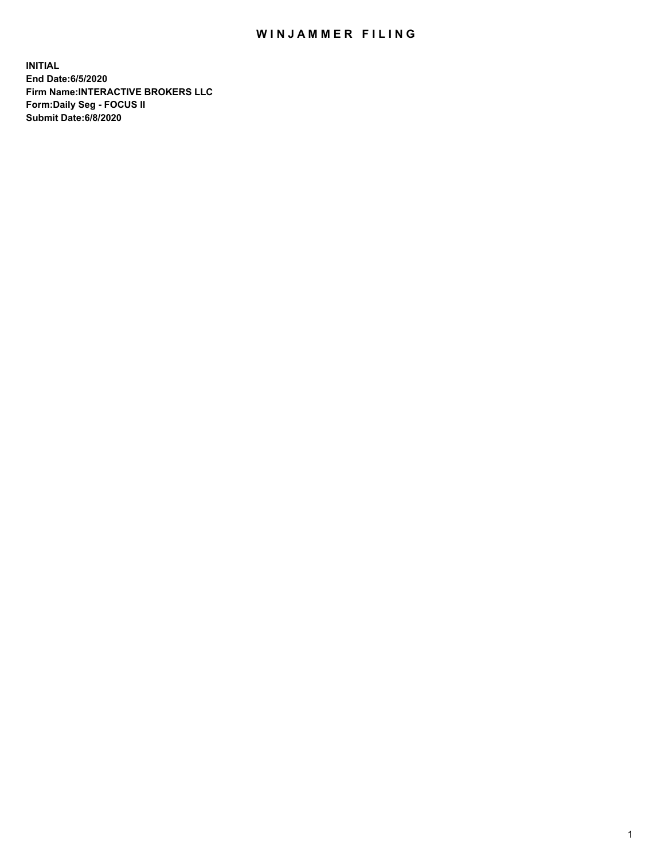## WIN JAMMER FILING

**INITIAL End Date:6/5/2020 Firm Name:INTERACTIVE BROKERS LLC Form:Daily Seg - FOCUS II Submit Date:6/8/2020**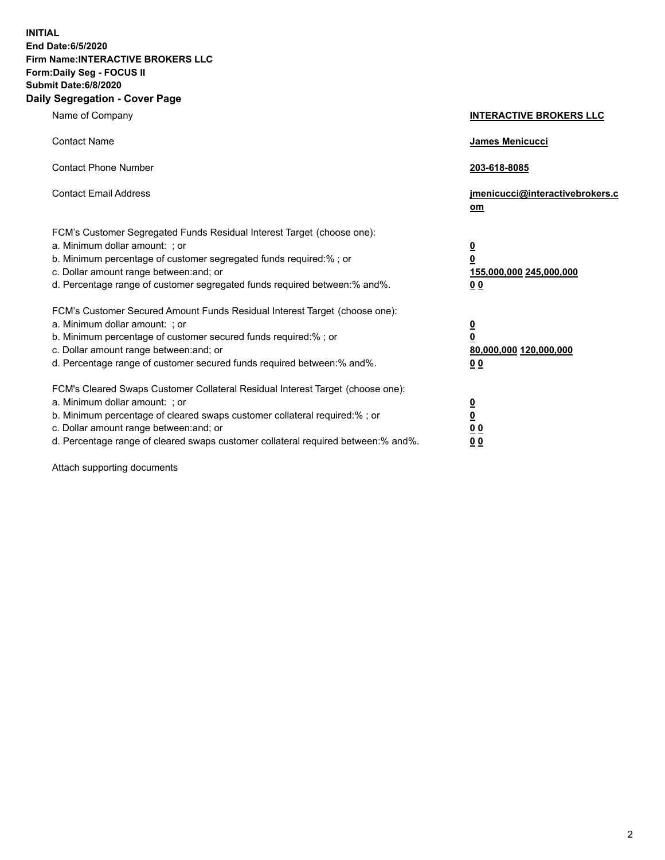**INITIAL End Date:6/5/2020 Firm Name:INTERACTIVE BROKERS LLC Form:Daily Seg - FOCUS II Submit Date:6/8/2020 Daily Segregation - Cover Page**

| Name of Company                                                                                                                                                                                                                                                                                                                | <b>INTERACTIVE BROKERS LLC</b>                                                                  |
|--------------------------------------------------------------------------------------------------------------------------------------------------------------------------------------------------------------------------------------------------------------------------------------------------------------------------------|-------------------------------------------------------------------------------------------------|
| <b>Contact Name</b>                                                                                                                                                                                                                                                                                                            | James Menicucci                                                                                 |
| <b>Contact Phone Number</b>                                                                                                                                                                                                                                                                                                    | 203-618-8085                                                                                    |
| <b>Contact Email Address</b>                                                                                                                                                                                                                                                                                                   | jmenicucci@interactivebrokers.c<br>om                                                           |
| FCM's Customer Segregated Funds Residual Interest Target (choose one):<br>a. Minimum dollar amount: : or<br>b. Minimum percentage of customer segregated funds required:% ; or<br>c. Dollar amount range between: and; or<br>d. Percentage range of customer segregated funds required between:% and%.                         | $\overline{\mathbf{0}}$<br>$\overline{\mathbf{0}}$<br>155,000,000 245,000,000<br>0 <sub>0</sub> |
| FCM's Customer Secured Amount Funds Residual Interest Target (choose one):<br>a. Minimum dollar amount: ; or<br>b. Minimum percentage of customer secured funds required:% ; or<br>c. Dollar amount range between: and; or<br>d. Percentage range of customer secured funds required between:% and%.                           | $\frac{0}{0}$<br>80,000,000 120,000,000<br>00                                                   |
| FCM's Cleared Swaps Customer Collateral Residual Interest Target (choose one):<br>a. Minimum dollar amount: ; or<br>b. Minimum percentage of cleared swaps customer collateral required:% ; or<br>c. Dollar amount range between: and; or<br>d. Percentage range of cleared swaps customer collateral required between:% and%. | $\overline{\mathbf{0}}$<br>$\underline{\mathbf{0}}$<br>0 <sub>0</sub><br>0 <sub>0</sub>         |

Attach supporting documents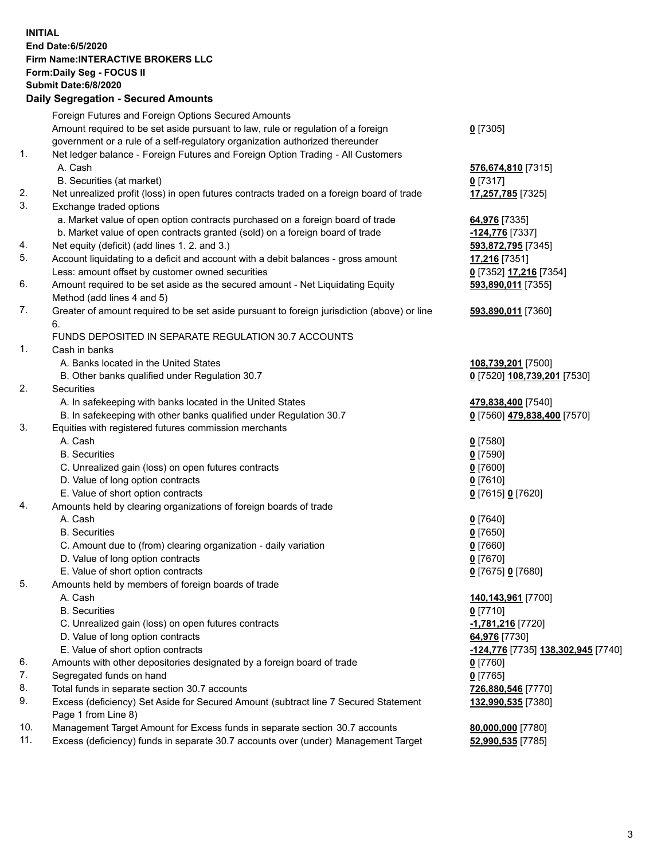## **INITIAL End Date:6/5/2020 Firm Name:INTERACTIVE BROKERS LLC Form:Daily Seg - FOCUS II Submit Date:6/8/2020 Daily Segregation - Secured Amounts**

|     | Foreign Futures and Foreign Options Secured Amounts                                         |                                                                 |
|-----|---------------------------------------------------------------------------------------------|-----------------------------------------------------------------|
|     | Amount required to be set aside pursuant to law, rule or regulation of a foreign            | $0$ [7305]                                                      |
|     | government or a rule of a self-regulatory organization authorized thereunder                |                                                                 |
| 1.  | Net ledger balance - Foreign Futures and Foreign Option Trading - All Customers             |                                                                 |
|     | A. Cash                                                                                     | 576,674,810 [7315]                                              |
|     | B. Securities (at market)                                                                   | $0$ [7317]                                                      |
| 2.  | Net unrealized profit (loss) in open futures contracts traded on a foreign board of trade   | 17,257,785 [7325]                                               |
| 3.  | Exchange traded options                                                                     |                                                                 |
|     | a. Market value of open option contracts purchased on a foreign board of trade              | 64,976 [7335]                                                   |
|     | b. Market value of open contracts granted (sold) on a foreign board of trade                | -124,776 [7337]                                                 |
| 4.  | Net equity (deficit) (add lines 1. 2. and 3.)                                               | 593,872,795 [7345]                                              |
| 5.  | Account liquidating to a deficit and account with a debit balances - gross amount           | 17,216 [7351]                                                   |
|     | Less: amount offset by customer owned securities                                            | 0 [7352] 17,216 [7354]                                          |
| 6.  | Amount required to be set aside as the secured amount - Net Liquidating Equity              | 593,890,011 [7355]                                              |
|     | Method (add lines 4 and 5)                                                                  |                                                                 |
| 7.  | Greater of amount required to be set aside pursuant to foreign jurisdiction (above) or line | 593,890,011 [7360]                                              |
|     | 6.                                                                                          |                                                                 |
|     | FUNDS DEPOSITED IN SEPARATE REGULATION 30.7 ACCOUNTS                                        |                                                                 |
| 1.  | Cash in banks                                                                               |                                                                 |
|     | A. Banks located in the United States                                                       | 108,739,201 [7500]                                              |
|     | B. Other banks qualified under Regulation 30.7                                              | 0 [7520] 108,739,201 [7530]                                     |
| 2.  | Securities                                                                                  |                                                                 |
|     | A. In safekeeping with banks located in the United States                                   | 479,838,400 [7540]                                              |
|     | B. In safekeeping with other banks qualified under Regulation 30.7                          | 0 [7560] 479,838,400 [7570]                                     |
| 3.  | Equities with registered futures commission merchants                                       |                                                                 |
|     | A. Cash                                                                                     | $0$ [7580]                                                      |
|     | <b>B.</b> Securities                                                                        | $0$ [7590]                                                      |
|     | C. Unrealized gain (loss) on open futures contracts                                         | $0$ [7600]                                                      |
|     | D. Value of long option contracts                                                           | $0$ [7610]                                                      |
|     | E. Value of short option contracts                                                          | 0 [7615] 0 [7620]                                               |
| 4.  | Amounts held by clearing organizations of foreign boards of trade                           |                                                                 |
|     | A. Cash                                                                                     | $Q$ [7640]                                                      |
|     | <b>B.</b> Securities                                                                        | $0$ [7650]                                                      |
|     | C. Amount due to (from) clearing organization - daily variation                             | $0$ [7660]                                                      |
|     | D. Value of long option contracts                                                           | $0$ [7670]                                                      |
|     | E. Value of short option contracts                                                          | 0 [7675] 0 [7680]                                               |
| 5.  | Amounts held by members of foreign boards of trade                                          |                                                                 |
|     | A. Cash                                                                                     | 140,143,961 [7700]                                              |
|     | <b>B.</b> Securities                                                                        | $0$ [7710]                                                      |
|     | C. Unrealized gain (loss) on open futures contracts                                         | -1,781,216 [7720]                                               |
|     | D. Value of long option contracts                                                           | 64,976 [7730]                                                   |
|     | E. Value of short option contracts                                                          | <u>-<b>124,776</b></u> [7735] <u><b>138,302,945</b> [</u> 7740] |
| 6.  | Amounts with other depositories designated by a foreign board of trade                      | $0$ [7760]                                                      |
| 7.  | Segregated funds on hand                                                                    | $0$ [7765]                                                      |
| 8.  | Total funds in separate section 30.7 accounts                                               | 726,880,546 [7770]                                              |
| 9.  | Excess (deficiency) Set Aside for Secured Amount (subtract line 7 Secured Statement         | 132,990,535 [7380]                                              |
|     | Page 1 from Line 8)                                                                         |                                                                 |
| 10. | Management Target Amount for Excess funds in separate section 30.7 accounts                 | 80,000,000 [7780]                                               |
| 11. | Excess (deficiency) funds in separate 30.7 accounts over (under) Management Target          | 52,990,535 [7785]                                               |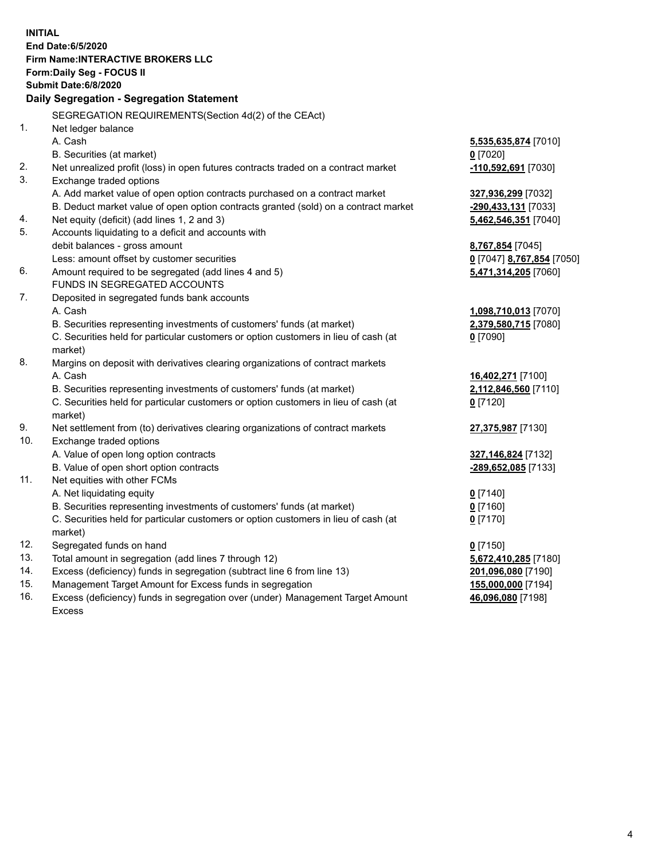**INITIAL End Date:6/5/2020 Firm Name:INTERACTIVE BROKERS LLC Form:Daily Seg - FOCUS II Submit Date:6/8/2020 Daily Segregation - Segregation Statement** SEGREGATION REQUIREMENTS(Section 4d(2) of the CEAct) 1. Net ledger balance A. Cash **5,535,635,874** [7010] B. Securities (at market) **0** [7020] 2. Net unrealized profit (loss) in open futures contracts traded on a contract market **-110,592,691** [7030] 3. Exchange traded options A. Add market value of open option contracts purchased on a contract market **327,936,299** [7032] B. Deduct market value of open option contracts granted (sold) on a contract market **-290,433,131** [7033] 4. Net equity (deficit) (add lines 1, 2 and 3) **5,462,546,351** [7040] 5. Accounts liquidating to a deficit and accounts with debit balances - gross amount **8,767,854** [7045] Less: amount offset by customer securities **0** [7047] **8,767,854** [7050] 6. Amount required to be segregated (add lines 4 and 5) **5,471,314,205** [7060] FUNDS IN SEGREGATED ACCOUNTS 7. Deposited in segregated funds bank accounts A. Cash **1,098,710,013** [7070] B. Securities representing investments of customers' funds (at market) **2,379,580,715** [7080] C. Securities held for particular customers or option customers in lieu of cash (at market) **0** [7090] 8. Margins on deposit with derivatives clearing organizations of contract markets A. Cash **16,402,271** [7100] B. Securities representing investments of customers' funds (at market) **2,112,846,560** [7110] C. Securities held for particular customers or option customers in lieu of cash (at market) **0** [7120] 9. Net settlement from (to) derivatives clearing organizations of contract markets **27,375,987** [7130] 10. Exchange traded options A. Value of open long option contracts **327,146,824** [7132] B. Value of open short option contracts **-289,652,085** [7133] 11. Net equities with other FCMs A. Net liquidating equity **0** [7140] B. Securities representing investments of customers' funds (at market) **0** [7160] C. Securities held for particular customers or option customers in lieu of cash (at market) **0** [7170] 12. Segregated funds on hand **0** [7150] 13. Total amount in segregation (add lines 7 through 12) **5,672,410,285** [7180] 14. Excess (deficiency) funds in segregation (subtract line 6 from line 13) **201,096,080** [7190] 15. Management Target Amount for Excess funds in segregation **155,000,000** [7194] 16. Excess (deficiency) funds in segregation over (under) Management Target Amount **46,096,080** [7198]

Excess